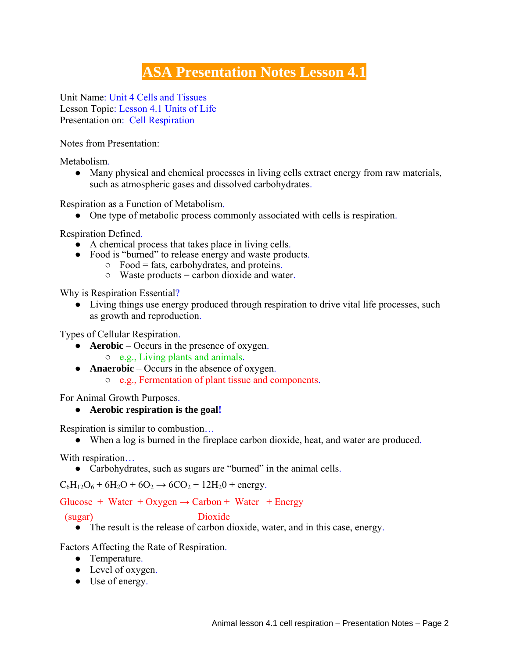## **ASA Presentation Notes Lesson 4.1**

Unit Name: Unit 4 Cells and Tissues Lesson Topic: Lesson 4.1 Units of Life Presentation on: Cell Respiration

Notes from Presentation:

Metabolism.

● Many physical and chemical processes in living cells extract energy from raw materials, such as atmospheric gases and dissolved carbohydrates.

Respiration as a Function of Metabolism.

● One type of metabolic process commonly associated with cells is respiration.

Respiration Defined.

- A chemical process that takes place in living cells.
- Food is "burned" to release energy and waste products.
	- $\circ$  Food = fats, carbohydrates, and proteins.
	- $\circ$  Waste products = carbon dioxide and water.

Why is Respiration Essential?

• Living things use energy produced through respiration to drive vital life processes, such as growth and reproduction.

Types of Cellular Respiration.

- **Aerobic** Occurs in the presence of oxygen.
	- e.g., Living plants and animals.
- **Anaerobic** Occurs in the absence of oxygen.
	- e.g., Fermentation of plant tissue and components.

For Animal Growth Purposes.

## ● **Aerobic respiration is the goal!**

Respiration is similar to combustion…

● When a log is burned in the fireplace carbon dioxide, heat, and water are produced.

With respiration…

• Carbohydrates, such as sugars are "burned" in the animal cells.

 $C_6H_{12}O_6 + 6H_2O + 6O_2 \rightarrow 6CO_2 + 12H_2O +$  energy.

## Glucose + Water + Oxygen  $\rightarrow$  Carbon + Water + Energy

(sugar) Dioxide

- 
- $\bullet$  The result is the release of carbon dioxide, water, and in this case, energy.

Factors Affecting the Rate of Respiration.

- Temperature.
- Level of oxygen.
- Use of energy.